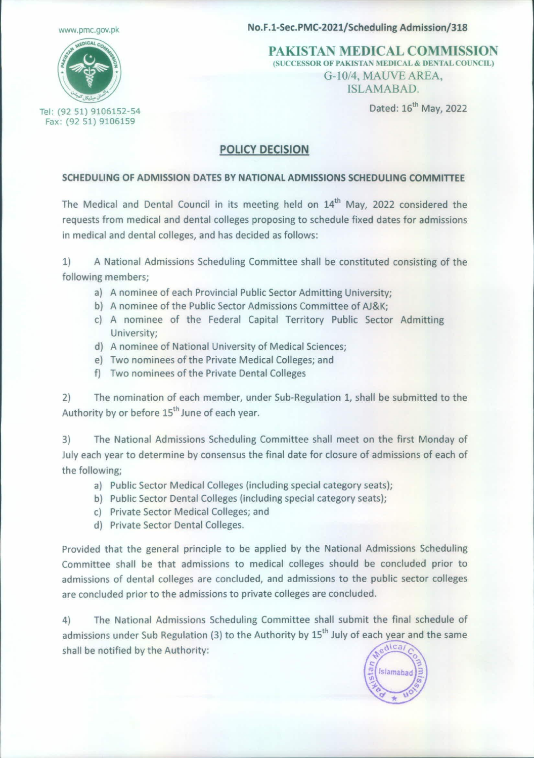[www.pmc.gov.pk](http://www.pmc.gov.pk)



No.F.1-Sec.PMC-2021/Scheduling Admission/318

PAKISTAN MEDICAL COMMISSION (SUCCESSOR OF PAKISTAN MEDICAL & DENTAL COUNCIL) *G-IOI4,* MAUVE AREA, ISLAMABAD.

Dated: 16<sup>th</sup> May, 2022

## POLICY DECISION

## SCHEDULING OF ADMISSION DATES BY NATIONAL ADMISSIONS SCHEDULING COMMITTEE

The Medical and Dental Council in its meeting held on 14<sup>th</sup> May, 2022 considered the requests from medical and dental colleges proposing to schedule fixed dates for admissions in medical and dental colleges, and has decided as follows:

1) A National Admissions Scheduling Committee shall be constituted consisting of the following members;

- a) A nominee of each Provincial Public Sector Admitting University;
- b) A nominee of the Public Sector Admissions Committee of AJ&K;
- c) A nominee of the Federal Capital Territory Public Sector Admitting University;
- d) A nominee of National University of Medical Sciences;
- e) Two nominees of the Private Medical Colleges; and
- f) Two nominees of the Private Dental Colleges

2) The nomination of each member, under Sub-Regulation 1, shall be submitted to the Authority by or before 15<sup>th</sup> June of each year.

3) The National Admissions Scheduling Committee shall meet on the first Monday of July each year to determine by consensus the final date for closure of admissions of each of the following;

- a) Public Sector Medical Colleges (including special category seats);
- b) Public Sector Dental Colleges (including special category seats);
- c) Private Sector Medical Colleges; and
- d) Private Sector Dental Colleges.

Provided that the general principle to be applied by the National Admissions Scheduling Committee shall be that admissions to medical colleges should be concluded prior to admissions of dental colleges are concluded, and admissions to the public sector colleges are concluded prior to the admissions to private colleges are concluded.

The National Admissions Scheduling Committee shall submit the final schedule of  $4)$ admissions under Sub Regulation (3) to the Authority by 15<sup>th</sup> July of each year and the same dica shall be notified by the Authority: